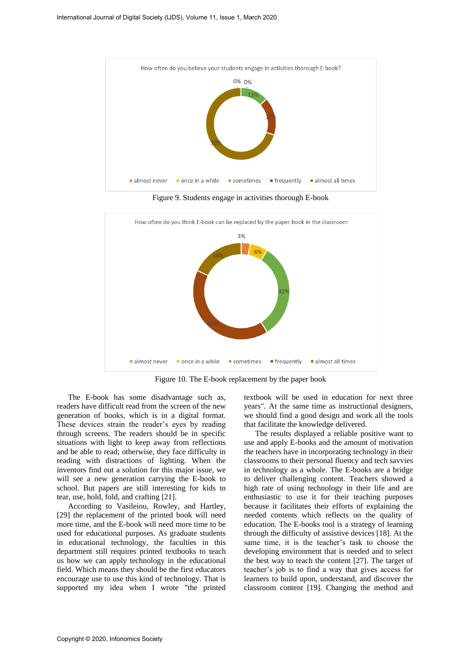

Figure 9. Students engage in activities thorough E-book



Figure 10. The E-book replacement by the paper book

The E-book has some disadvantage such as, readers have difficult read from the screen of the new generation of books, which is in a digital format. These devices strain the reader's eyes by reading through screens. The readers should be in specific situations with light to keep away from reflections and be able to read; otherwise, they face difficulty in reading with distractions of lighting. When the inventors find out a solution for this major issue, we will see a new generation carrying the E-book to school. But papers are still interesting for kids to tear, use, hold, fold, and crafting [21].

According to Vasileiou, Rowley, and Hartley, [29] the replacement of the printed book will need more time, and the E-book will need more time to be used for educational purposes. As graduate students in educational technology, the faculties in this department still requires printed textbooks to teach us how we can apply technology in the educational field. Which means they should be the first educators encourage use to use this kind of technology. That is supported my idea when I wrote "the printed

textbook will be used in education for next three years". At the same time as instructional designers, we should find a good design and work all the tools that facilitate the knowledge delivered.

The results displayed a reliable positive want to use and apply E-books and the amount of motivation the teachers have in incorporating technology in their classrooms to their personal fluency and tech savvies in technology as a whole. The E-books are a bridge to deliver challenging content. Teachers showed a high rate of using technology in their life and are enthusiastic to use it for their teaching purposes because it facilitates their efforts of explaining the needed contents which reflects on the quality of education. The E-books tool is a strategy of learning through the difficulty of assistive devices [18]. At the same time, it is the teacher's task to choose the developing environment that is needed and to select the best way to teach the content [27]. The target of teacher's job is to find a way that gives access for learners to build upon, understand, and discover the classroom content [19]. Changing the method and